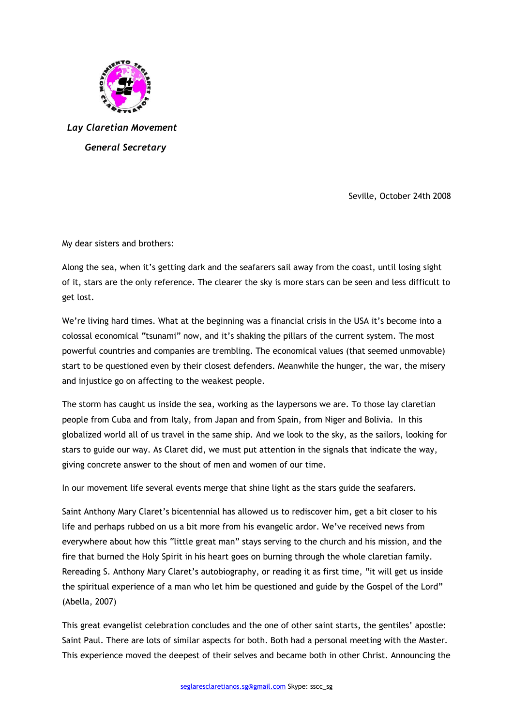

 *Lay Claretian Movement General Secretary* 

Seville, October 24th 2008

My dear sisters and brothers:

Along the sea, when it's getting dark and the seafarers sail away from the coast, until losing sight of it, stars are the only reference. The clearer the sky is more stars can be seen and less difficult to get lost.

We're living hard times. What at the beginning was a financial crisis in the USA it's become into a colossal economical "tsunami" now, and it's shaking the pillars of the current system. The most powerful countries and companies are trembling. The economical values (that seemed unmovable) start to be questioned even by their closest defenders. Meanwhile the hunger, the war, the misery and injustice go on affecting to the weakest people.

The storm has caught us inside the sea, working as the laypersons we are. To those lay claretian people from Cuba and from Italy, from Japan and from Spain, from Niger and Bolivia. In this globalized world all of us travel in the same ship. And we look to the sky, as the sailors, looking for stars to guide our way. As Claret did, we must put attention in the signals that indicate the way, giving concrete answer to the shout of men and women of our time.

In our movement life several events merge that shine light as the stars guide the seafarers.

Saint Anthony Mary Claret's bicentennial has allowed us to rediscover him, get a bit closer to his life and perhaps rubbed on us a bit more from his evangelic ardor. We've received news from everywhere about how this "little great man" stays serving to the church and his mission, and the fire that burned the Holy Spirit in his heart goes on burning through the whole claretian family. Rereading S. Anthony Mary Claret's autobiography, or reading it as first time, "it will get us inside the spiritual experience of a man who let him be questioned and guide by the Gospel of the Lord" (Abella, 2007)

This great evangelist celebration concludes and the one of other saint starts, the gentiles' apostle: Saint Paul. There are lots of similar aspects for both. Both had a personal meeting with the Master. This experience moved the deepest of their selves and became both in other Christ. Announcing the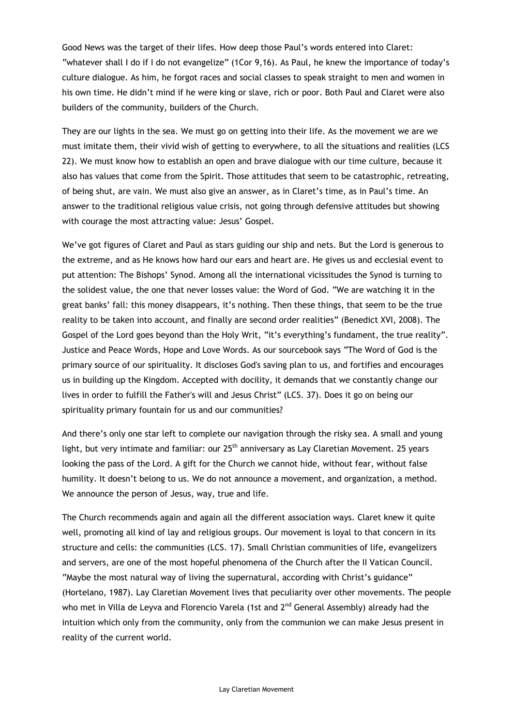Good News was the target of their lifes. How deep those Paul's words entered into Claret: "whatever shall I do if I do not evangelize" (1Cor 9,16). As Paul, he knew the importance of today's culture dialogue. As him, he forgot races and social classes to speak straight to men and women in his own time. He didn't mind if he were king or slave, rich or poor. Both Paul and Claret were also builders of the community, builders of the Church.

They are our lights in the sea. We must go on getting into their life. As the movement we are we must imitate them, their vivid wish of getting to everywhere, to all the situations and realities (LCS 22). We must know how to establish an open and brave dialogue with our time culture, because it also has values that come from the Spirit. Those attitudes that seem to be catastrophic, retreating, of being shut, are vain. We must also give an answer, as in Claret's time, as in Paul's time. An answer to the traditional religious value crisis, not going through defensive attitudes but showing with courage the most attracting value: Jesus' Gospel.

We've got figures of Claret and Paul as stars guiding our ship and nets. But the Lord is generous to the extreme, and as He knows how hard our ears and heart are. He gives us and ecclesial event to put attention: The Bishops' Synod. Among all the international vicissitudes the Synod is turning to the solidest value, the one that never losses value: the Word of God. "We are watching it in the great banks' fall: this money disappears, it's nothing. Then these things, that seem to be the true reality to be taken into account, and finally are second order realities" (Benedict XVI, 2008). The Gospel of the Lord goes beyond than the Holy Writ, "it's everything's fundament, the true reality". Justice and Peace Words, Hope and Love Words. As our sourcebook says "The Word of God is the primary source of our spirituality. It discloses God's saving plan to us, and fortifies and encourages us in building up the Kingdom. Accepted with docility, it demands that we constantly change our lives in order to fulfill the Father's will and Jesus Christ" (LCS. 37). Does it go on being our spirituality primary fountain for us and our communities?

And there's only one star left to complete our navigation through the risky sea. A small and young light, but very intimate and familiar: our 25<sup>th</sup> anniversary as Lay Claretian Movement. 25 years looking the pass of the Lord. A gift for the Church we cannot hide, without fear, without false humility. It doesn't belong to us. We do not announce a movement, and organization, a method. We announce the person of Jesus, way, true and life.

The Church recommends again and again all the different association ways. Claret knew it quite well, promoting all kind of lay and religious groups. Our movement is loyal to that concern in its structure and cells: the communities (LCS. 17). Small Christian communities of life, evangelizers and servers, are one of the most hopeful phenomena of the Church after the II Vatican Council. "Maybe the most natural way of living the supernatural, according with Christ's guidance" (Hortelano, 1987). Lay Claretian Movement lives that peculiarity over other movements. The people who met in Villa de Leyva and Florencio Varela (1st and 2<sup>nd</sup> General Assembly) already had the intuition which only from the community, only from the communion we can make Jesus present in reality of the current world.